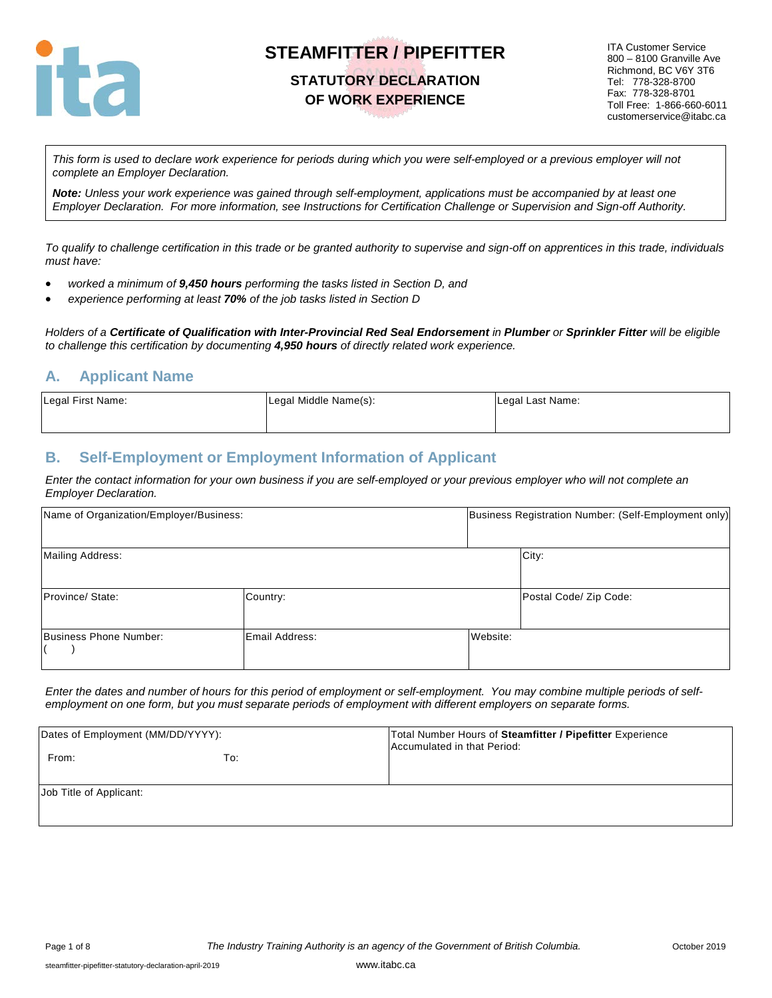

### **STATUTORY DECLARATION OF WORK EXPERIENCE**

ITA Customer Service 800 – 8100 Granville Ave Richmond, BC V6Y 3T6 Tel: 778-328-8700 Fax: 778-328-8701 Toll Free: 1-866-660-6011 customerservice@itabc.ca

*This form is used to declare work experience for periods during which you were self-employed or a previous employer will not complete an Employer Declaration.* 

*Note: Unless your work experience was gained through self-employment, applications must be accompanied by at least one Employer Declaration. For more information, see Instructions for Certification Challenge or Supervision and Sign-off Authority.*

*To qualify to challenge certification in this trade or be granted authority to supervise and sign-off on apprentices in this trade, individuals must have:*

- *worked a minimum of 9,450 hours performing the tasks listed in Section D, and*
- *experience performing at least 70% of the job tasks listed in Section D*

*Holders of a Certificate of Qualification with Inter-Provincial Red Seal Endorsement in Plumber or Sprinkler Fitter will be eligible to challenge this certification by documenting 4,950 hours of directly related work experience.*

### **A. Applicant Name**

| Legal First Name: | Legal Middle Name(s): | Legal Last Name: |
|-------------------|-----------------------|------------------|
|                   |                       |                  |

## **B. Self-Employment or Employment Information of Applicant**

*Enter the contact information for your own business if you are self-employed or your previous employer who will not complete an Employer Declaration.* 

| Name of Organization/Employer/Business: |                |          | Business Registration Number: (Self-Employment only) |
|-----------------------------------------|----------------|----------|------------------------------------------------------|
| <b>Mailing Address:</b>                 |                |          | City:                                                |
| Province/ State:                        | Country:       |          | Postal Code/ Zip Code:                               |
| Business Phone Number:                  | Email Address: | Website: |                                                      |

*Enter the dates and number of hours for this period of employment or self-employment. You may combine multiple periods of selfemployment on one form, but you must separate periods of employment with different employers on separate forms.* 

| Dates of Employment (MM/DD/YYYY): |     | Total Number Hours of Steamfitter / Pipefitter Experience<br>Accumulated in that Period: |
|-----------------------------------|-----|------------------------------------------------------------------------------------------|
| From:                             | To: |                                                                                          |
| Job Title of Applicant:           |     |                                                                                          |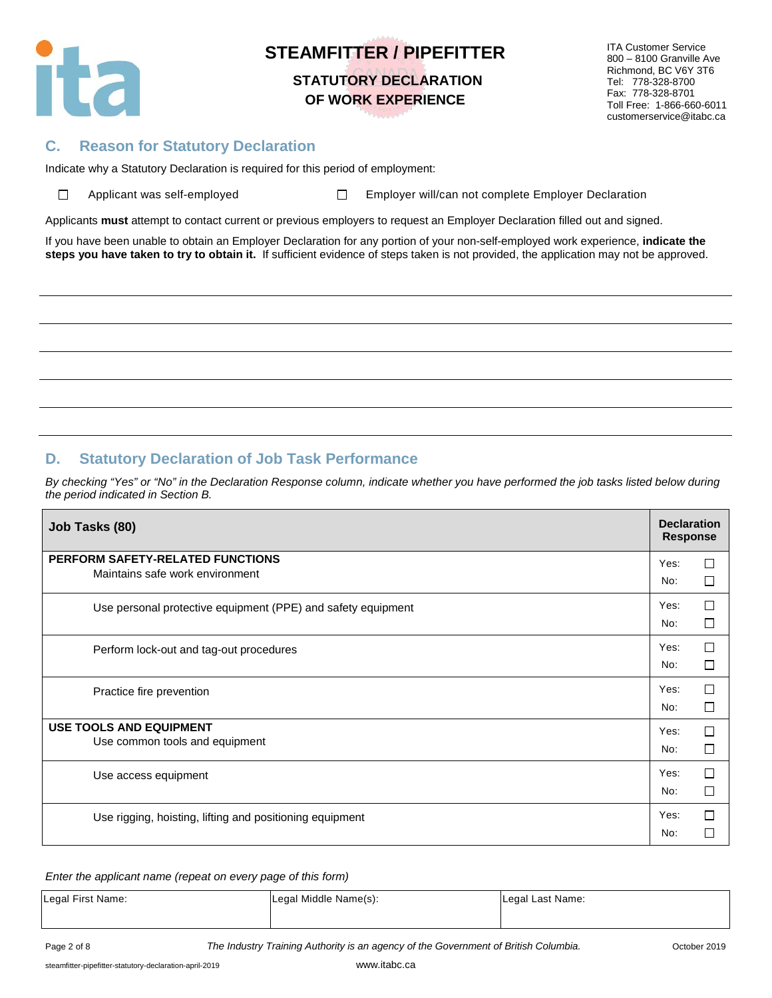

# **STEAMFITTER / PIPEFITTER STATUTORY DECLARATION OF WORK EXPERIENCE**

ITA Customer Service 800 – 8100 Granville Ave Richmond, BC V6Y 3T6 Tel: 778-328-8700 Fax: 778-328-8701 Toll Free: 1-866-660-6011 customerservice@itabc.ca

## **C. Reason for Statutory Declaration**

Indicate why a Statutory Declaration is required for this period of employment:

| $\Box$ | Applicant was self-emplo |  |  |
|--------|--------------------------|--|--|
|        |                          |  |  |

oyed **Employer will/can not complete Employer Declaration** 

Applicants **must** attempt to contact current or previous employers to request an Employer Declaration filled out and signed.

If you have been unable to obtain an Employer Declaration for any portion of your non-self-employed work experience, **indicate the steps you have taken to try to obtain it.** If sufficient evidence of steps taken is not provided, the application may not be approved.

## **D. Statutory Declaration of Job Task Performance**

*By checking "Yes" or "No" in the Declaration Response column, indicate whether you have performed the job tasks listed below during the period indicated in Section B.* 

| Job Tasks (80)                                               | <b>Declaration</b><br><b>Response</b> |        |
|--------------------------------------------------------------|---------------------------------------|--------|
| PERFORM SAFETY-RELATED FUNCTIONS                             | Yes:                                  | П      |
| Maintains safe work environment                              | No:                                   | П      |
| Use personal protective equipment (PPE) and safety equipment | Yes:                                  | □      |
|                                                              | No:                                   | П      |
| Perform lock-out and tag-out procedures                      | Yes:                                  | П      |
|                                                              | No:                                   | П      |
| Practice fire prevention                                     | Yes:                                  | П      |
|                                                              | No:                                   | $\Box$ |
| <b>USE TOOLS AND EQUIPMENT</b>                               | Yes:                                  | П      |
| Use common tools and equipment                               | No:                                   | П      |
| Use access equipment                                         | Yes:                                  | П      |
|                                                              | No:                                   | $\Box$ |
| Use rigging, hoisting, lifting and positioning equipment     | Yes:                                  | П      |
|                                                              | No:                                   |        |

#### *Enter the applicant name (repeat on every page of this form)*

| Legal First Name: |  | Legal Middle Name(s): | Legal Last Name: |  |
|-------------------|--|-----------------------|------------------|--|
|-------------------|--|-----------------------|------------------|--|

Page 2 of 8 *The Industry Training Authority is an agency of the Government of British Columbia.* October 2019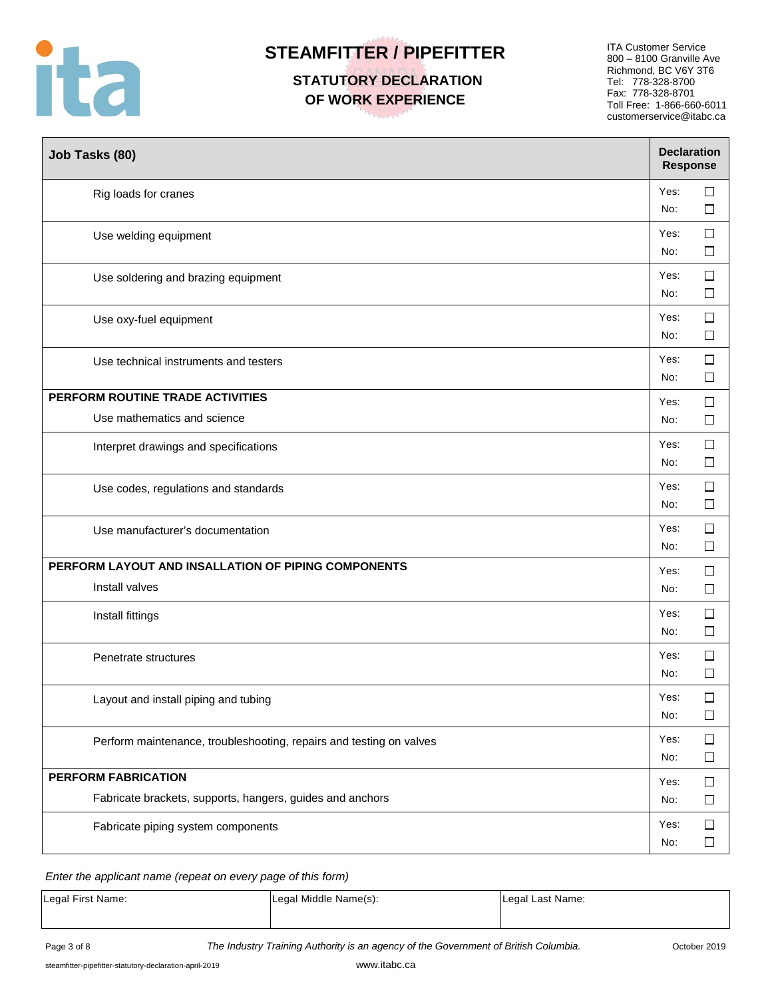

# **STATUTORY DECLARATION OF WORK EXPERIENCE**

ITA Customer Service 800 – 8100 Granville Ave Richmond, BC V6Y 3T6 Tel: 778-328-8700 Fax: 778-328-8701 Toll Free: 1-866-660-6011 customerservice@itabc.ca

| Job Tasks (80)                                                      | <b>Declaration</b><br><b>Response</b> |                  |
|---------------------------------------------------------------------|---------------------------------------|------------------|
| Rig loads for cranes                                                | Yes:<br>No:                           | $\Box$<br>$\Box$ |
| Use welding equipment                                               | Yes:<br>No:                           | $\Box$<br>$\Box$ |
| Use soldering and brazing equipment                                 | Yes:<br>No:                           | $\Box$<br>$\Box$ |
| Use oxy-fuel equipment                                              | Yes:<br>No:                           | $\Box$<br>$\Box$ |
| Use technical instruments and testers                               | Yes:<br>No:                           | $\Box$<br>$\Box$ |
| PERFORM ROUTINE TRADE ACTIVITIES<br>Use mathematics and science     | Yes:<br>No:                           | $\Box$<br>□      |
| Interpret drawings and specifications                               | Yes:<br>No:                           | $\Box$<br>$\Box$ |
| Use codes, regulations and standards                                | Yes:<br>No:                           | $\Box$<br>$\Box$ |
| Use manufacturer's documentation                                    | Yes:<br>No:                           | $\Box$<br>$\Box$ |
| PERFORM LAYOUT AND INSALLATION OF PIPING COMPONENTS                 | Yes:                                  | $\Box$           |
| Install valves                                                      | No:                                   | $\Box$           |
| Install fittings                                                    | Yes:<br>No:                           | $\Box$<br>$\Box$ |
| Penetrate structures                                                | Yes:<br>No:                           | $\Box$<br>□      |
| Layout and install piping and tubing                                | Yes:<br>No:                           | $\Box$<br>$\Box$ |
| Perform maintenance, troubleshooting, repairs and testing on valves | Yes:<br>No:                           | $\Box$<br>□      |
| PERFORM FABRICATION                                                 | Yes:                                  | $\Box$           |
| Fabricate brackets, supports, hangers, guides and anchors           | No:                                   | $\Box$           |
| Fabricate piping system components                                  | Yes:<br>No:                           | $\Box$<br>$\Box$ |

#### *Enter the applicant name (repeat on every page of this form)*

| Legal First Name: | Legal Middle Name(s): | Legal Last Name: |
|-------------------|-----------------------|------------------|
|-------------------|-----------------------|------------------|

Page 3 of 8 **The Industry Training Authority is an agency of the Government of British Columbia.** Cotober 2019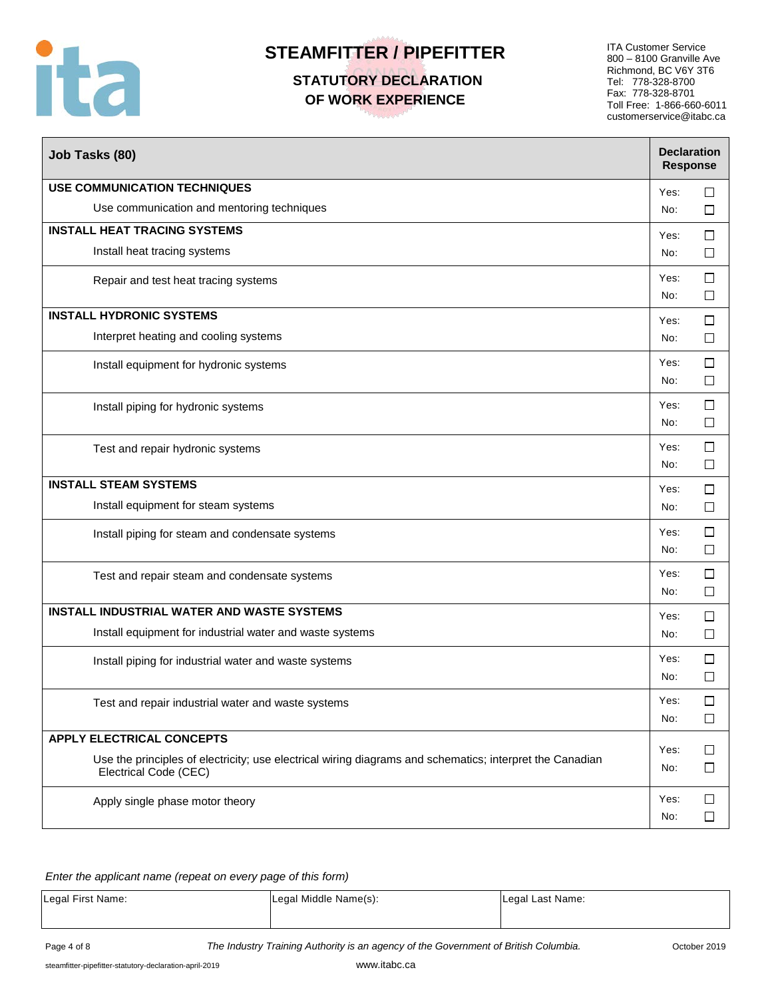

# **STATUTORY DECLARATION OF WORK EXPERIENCE**

ITA Customer Service 800 – 8100 Granville Ave Richmond, BC V6Y 3T6 Tel: 778-328-8700 Fax: 778-328-8701 Toll Free: 1-866-660-6011 customerservice@itabc.ca

| Job Tasks (80)                                                                                                                    |             | <b>Declaration</b><br><b>Response</b> |
|-----------------------------------------------------------------------------------------------------------------------------------|-------------|---------------------------------------|
| <b>USE COMMUNICATION TECHNIQUES</b>                                                                                               | Yes:        | $\Box$                                |
| Use communication and mentoring techniques                                                                                        | No:         | □                                     |
| <b>INSTALL HEAT TRACING SYSTEMS</b>                                                                                               | Yes:        | $\Box$                                |
| Install heat tracing systems                                                                                                      | No:         | □                                     |
| Repair and test heat tracing systems                                                                                              | Yes:<br>No: | $\Box$<br>$\Box$                      |
| <b>INSTALL HYDRONIC SYSTEMS</b>                                                                                                   | Yes:        | $\Box$                                |
| Interpret heating and cooling systems                                                                                             | No:         | $\Box$                                |
| Install equipment for hydronic systems                                                                                            | Yes:<br>No: | $\Box$<br>$\Box$                      |
| Install piping for hydronic systems                                                                                               | Yes:<br>No: | $\Box$<br>$\Box$                      |
| Test and repair hydronic systems                                                                                                  | Yes:<br>No: | $\Box$<br>$\Box$                      |
| <b>INSTALL STEAM SYSTEMS</b>                                                                                                      | Yes:        | $\Box$                                |
| Install equipment for steam systems                                                                                               | No:         | $\Box$                                |
| Install piping for steam and condensate systems                                                                                   | Yes:<br>No: | $\Box$<br>$\Box$                      |
| Test and repair steam and condensate systems                                                                                      | Yes:<br>No: | □<br>$\Box$                           |
| <b>INSTALL INDUSTRIAL WATER AND WASTE SYSTEMS</b>                                                                                 | Yes:        | $\Box$                                |
| Install equipment for industrial water and waste systems                                                                          | No:         | $\Box$                                |
| Install piping for industrial water and waste systems                                                                             | Yes:<br>No: | $\Box$<br>$\Box$                      |
| Test and repair industrial water and waste systems                                                                                | Yes:<br>No: | □<br>$\Box$                           |
| <b>APPLY ELECTRICAL CONCEPTS</b>                                                                                                  |             |                                       |
| Use the principles of electricity; use electrical wiring diagrams and schematics; interpret the Canadian<br>Electrical Code (CEC) | Yes:<br>No: | $\Box$<br>$\Box$                      |
| Apply single phase motor theory                                                                                                   | Yes:<br>No: | $\Box$<br>□                           |

#### *Enter the applicant name (repeat on every page of this form)*

| Legal First Name: | Legal Middle Name(s): | Legal Last Name: |
|-------------------|-----------------------|------------------|
|                   |                       |                  |

Page 4 of 8 **The Industry Training Authority is an agency of the Government of British Columbia.** Cotober 2019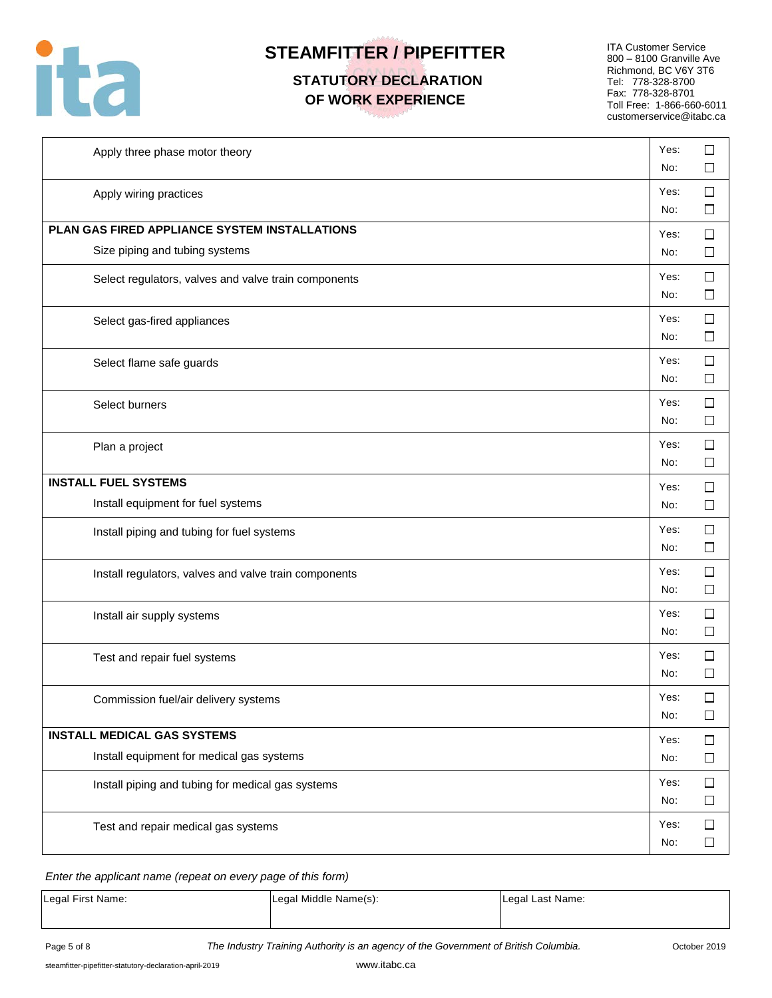

## **STATUTORY DECLARATION OF WORK EXPERIENCE**

ITA Customer Service 800 – 8100 Granville Ave Richmond, BC V6Y 3T6 Tel: 778-328-8700 Fax: 778-328-8701 Toll Free: 1-866-660-6011 customerservice@itabc.ca

| Apply three phase motor theory                        | Yes:<br>No: | □<br>$\Box$      |
|-------------------------------------------------------|-------------|------------------|
| Apply wiring practices                                | Yes:<br>No: | $\Box$<br>□      |
| PLAN GAS FIRED APPLIANCE SYSTEM INSTALLATIONS         | Yes:        | $\Box$           |
| Size piping and tubing systems                        | No:         | $\Box$           |
| Select regulators, valves and valve train components  | Yes:<br>No: | $\Box$<br>$\Box$ |
| Select gas-fired appliances                           | Yes:<br>No: | □<br>$\Box$      |
| Select flame safe guards                              | Yes:<br>No: | $\Box$<br>$\Box$ |
| Select burners                                        | Yes:<br>No: | $\Box$<br>□      |
| Plan a project                                        | Yes:<br>No: | $\Box$<br>□      |
| <b>INSTALL FUEL SYSTEMS</b>                           | Yes:        | $\Box$           |
| Install equipment for fuel systems                    | No:         | $\Box$           |
| Install piping and tubing for fuel systems            | Yes:<br>No: | $\Box$<br>$\Box$ |
| Install regulators, valves and valve train components | Yes:<br>No: | □<br>□           |
| Install air supply systems                            | Yes:<br>No: | $\Box$<br>$\Box$ |
| Test and repair fuel systems                          | Yes:<br>No: | $\Box$<br>$\Box$ |
| Commission fuel/air delivery systems                  | Yes:<br>No: | □<br>$\Box$      |
| <b>INSTALL MEDICAL GAS SYSTEMS</b>                    | Yes:        | $\Box$           |
| Install equipment for medical gas systems             | No:         | $\Box$           |
| Install piping and tubing for medical gas systems     | Yes:<br>No: | $\Box$<br>$\Box$ |
| Test and repair medical gas systems                   | Yes:<br>No: | $\Box$<br>$\Box$ |

#### *Enter the applicant name (repeat on every page of this form)*

| Legal First Name: | Legal Middle Name(s): | Legal Last Name: |
|-------------------|-----------------------|------------------|
|-------------------|-----------------------|------------------|

Page 5 of 8 **The Industry Training Authority is an agency of the Government of British Columbia.** Cotober 2019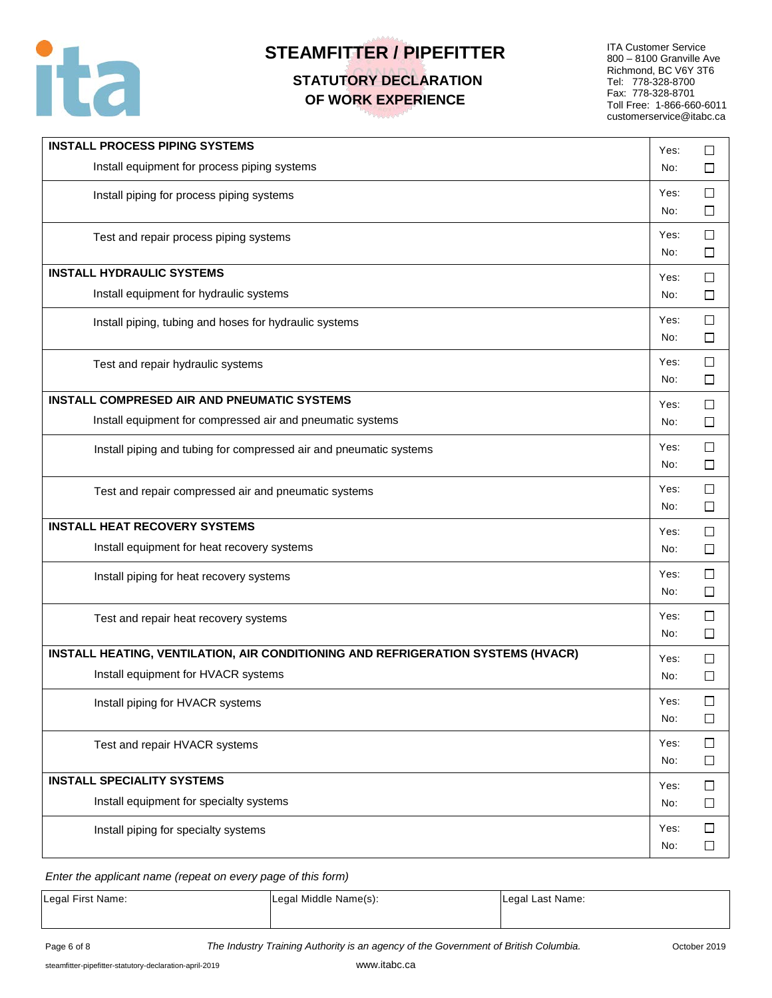

## **STATUTORY DECLARATION OF WORK EXPERIENCE**

ITA Customer Service 800 – 8100 Granville Ave Richmond, BC V6Y 3T6 Tel: 778-328-8700 Fax: 778-328-8701 Toll Free: 1-866-660-6011 customerservice@itabc.ca

| <b>INSTALL PROCESS PIPING SYSTEMS</b>                                            | Yes:        | □                |
|----------------------------------------------------------------------------------|-------------|------------------|
| Install equipment for process piping systems                                     | No:         | □                |
| Install piping for process piping systems                                        | Yes:<br>No: | □<br>□           |
| Test and repair process piping systems                                           | Yes:<br>No: | □<br>$\Box$      |
| <b>INSTALL HYDRAULIC SYSTEMS</b>                                                 | Yes:        | □                |
| Install equipment for hydraulic systems                                          | No:         | □                |
| Install piping, tubing and hoses for hydraulic systems                           | Yes:<br>No: | □<br>$\Box$      |
| Test and repair hydraulic systems                                                | Yes:<br>No: | □<br>□           |
| <b>INSTALL COMPRESED AIR AND PNEUMATIC SYSTEMS</b>                               | Yes:        | $\Box$           |
| Install equipment for compressed air and pneumatic systems                       | No:         | □                |
| Install piping and tubing for compressed air and pneumatic systems               | Yes:<br>No: | $\Box$<br>$\Box$ |
| Test and repair compressed air and pneumatic systems                             | Yes:<br>No: | $\Box$<br>□      |
| <b>INSTALL HEAT RECOVERY SYSTEMS</b>                                             | Yes:        | $\Box$           |
| Install equipment for heat recovery systems                                      | No:         | $\Box$           |
| Install piping for heat recovery systems                                         | Yes:<br>No: | $\Box$<br>□      |
| Test and repair heat recovery systems                                            | Yes:<br>No: | □<br>$\Box$      |
| INSTALL HEATING, VENTILATION, AIR CONDITIONING AND REFRIGERATION SYSTEMS (HVACR) | Yes:        | $\Box$           |
| Install equipment for HVACR systems                                              | No:         | $\Box$           |
| Install piping for HVACR systems                                                 | Yes:<br>No: | □<br>$\Box$      |
| Test and repair HVACR systems                                                    | Yes:<br>No: | □<br>$\Box$      |
| <b>INSTALL SPECIALITY SYSTEMS</b>                                                | Yes:        | $\Box$           |
| Install equipment for specialty systems                                          | No:         | □                |
| Install piping for specialty systems                                             | Yes:<br>No: | □<br>$\Box$      |

*Enter the applicant name (repeat on every page of this form)*

| Legal First Name: | Legal Middle Name(s): | Legal Last Name: |
|-------------------|-----------------------|------------------|
|                   |                       |                  |

Page 6 of 8 **The Industry Training Authority is an agency of the Government of British Columbia.** Cotober 2019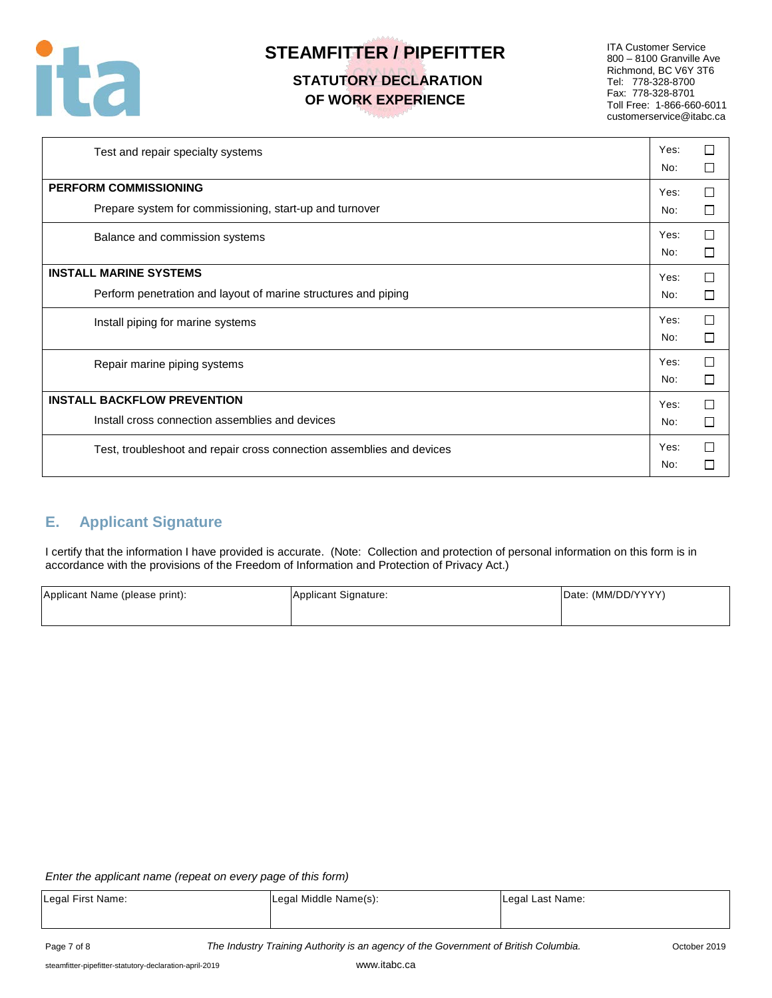

## **STATUTORY DECLARATION OF WORK EXPERIENCE**

ITA Customer Service 800 – 8100 Granville Ave Richmond, BC V6Y 3T6 Tel: 778-328-8700 Fax: 778-328-8701 Toll Free: 1-866-660-6011 customerservice@itabc.ca

| Test and repair specialty systems                                                               | Yes:<br>No: |        |  |  |  |
|-------------------------------------------------------------------------------------------------|-------------|--------|--|--|--|
| <b>PERFORM COMMISSIONING</b><br>Prepare system for commissioning, start-up and turnover         | Yes:<br>No: | П      |  |  |  |
| Balance and commission systems                                                                  | Yes:<br>No: | П<br>П |  |  |  |
| <b>INSTALL MARINE SYSTEMS</b><br>Perform penetration and layout of marine structures and piping | Yes:<br>No: |        |  |  |  |
| Install piping for marine systems                                                               | Yes:<br>No: | П      |  |  |  |
| Repair marine piping systems                                                                    | Yes:<br>No: | П      |  |  |  |
| <b>INSTALL BACKFLOW PREVENTION</b>                                                              |             |        |  |  |  |
| Install cross connection assemblies and devices                                                 | No:         | $\Box$ |  |  |  |
| Test, troubleshoot and repair cross connection assemblies and devices                           | Yes:<br>No: |        |  |  |  |

## **E. Applicant Signature**

I certify that the information I have provided is accurate. (Note: Collection and protection of personal information on this form is in accordance with the provisions of the Freedom of Information and Protection of Privacy Act.)

| Applicant Name (please print): | Applicant Signature: | Date: (MM/DD/YYYY) |
|--------------------------------|----------------------|--------------------|
|                                |                      |                    |

#### *Enter the applicant name (repeat on every page of this form)*

| Legal First Name: | Legal Middle Name(s): | Legal Last Name: |
|-------------------|-----------------------|------------------|
|                   |                       |                  |
|                   |                       |                  |

Page 7 of 8 *The Industry Training Authority is an agency of the Government of British Columbia.* October 2019